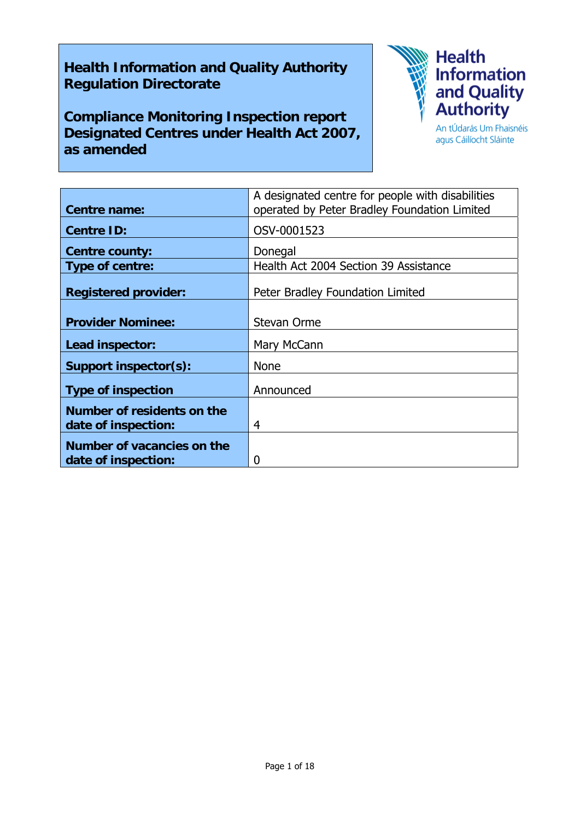## **Health Information and Quality Authority Regulation Directorate**

**Compliance Monitoring Inspection report Designated Centres under Health Act 2007, as amended** 



agus Cáilíocht Sláinte

|                                                   | A designated centre for people with disabilities |
|---------------------------------------------------|--------------------------------------------------|
| <b>Centre name:</b>                               | operated by Peter Bradley Foundation Limited     |
| <b>Centre ID:</b>                                 | OSV-0001523                                      |
| <b>Centre county:</b>                             | Donegal                                          |
| Type of centre:                                   | Health Act 2004 Section 39 Assistance            |
| <b>Registered provider:</b>                       | Peter Bradley Foundation Limited                 |
| <b>Provider Nominee:</b>                          | <b>Stevan Orme</b>                               |
| Lead inspector:                                   | Mary McCann                                      |
| Support inspector(s):                             | <b>None</b>                                      |
| <b>Type of inspection</b>                         | Announced                                        |
| Number of residents on the<br>date of inspection: | 4                                                |
| Number of vacancies on the<br>date of inspection: | 0                                                |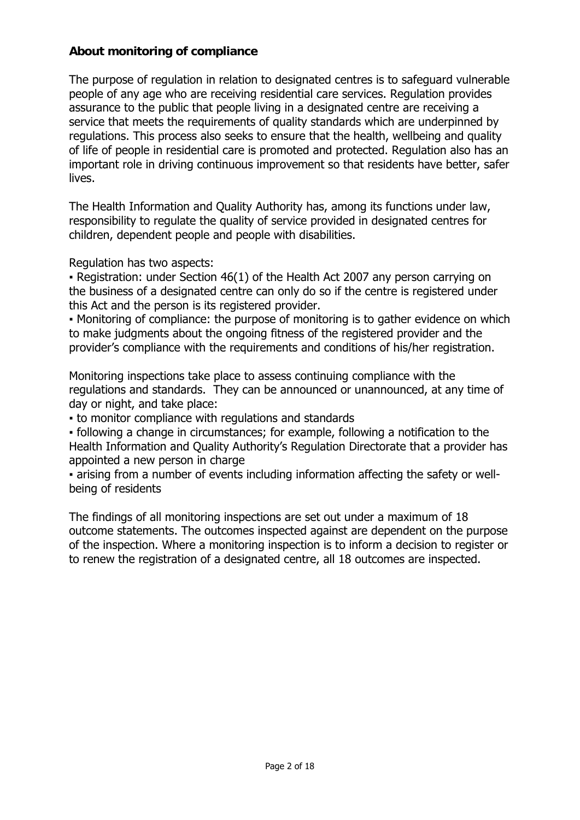#### **About monitoring of compliance**

The purpose of regulation in relation to designated centres is to safeguard vulnerable people of any age who are receiving residential care services. Regulation provides assurance to the public that people living in a designated centre are receiving a service that meets the requirements of quality standards which are underpinned by regulations. This process also seeks to ensure that the health, wellbeing and quality of life of people in residential care is promoted and protected. Regulation also has an important role in driving continuous improvement so that residents have better, safer lives.

The Health Information and Quality Authority has, among its functions under law, responsibility to regulate the quality of service provided in designated centres for children, dependent people and people with disabilities.

Regulation has two aspects:

• Registration: under Section 46(1) of the Health Act 2007 any person carrying on the business of a designated centre can only do so if the centre is registered under this Act and the person is its registered provider.

▪ Monitoring of compliance: the purpose of monitoring is to gather evidence on which to make judgments about the ongoing fitness of the registered provider and the provider's compliance with the requirements and conditions of his/her registration.

Monitoring inspections take place to assess continuing compliance with the regulations and standards. They can be announced or unannounced, at any time of day or night, and take place:

▪ to monitor compliance with regulations and standards

▪ following a change in circumstances; for example, following a notification to the Health Information and Quality Authority's Regulation Directorate that a provider has appointed a new person in charge

▪ arising from a number of events including information affecting the safety or wellbeing of residents

The findings of all monitoring inspections are set out under a maximum of 18 outcome statements. The outcomes inspected against are dependent on the purpose of the inspection. Where a monitoring inspection is to inform a decision to register or to renew the registration of a designated centre, all 18 outcomes are inspected.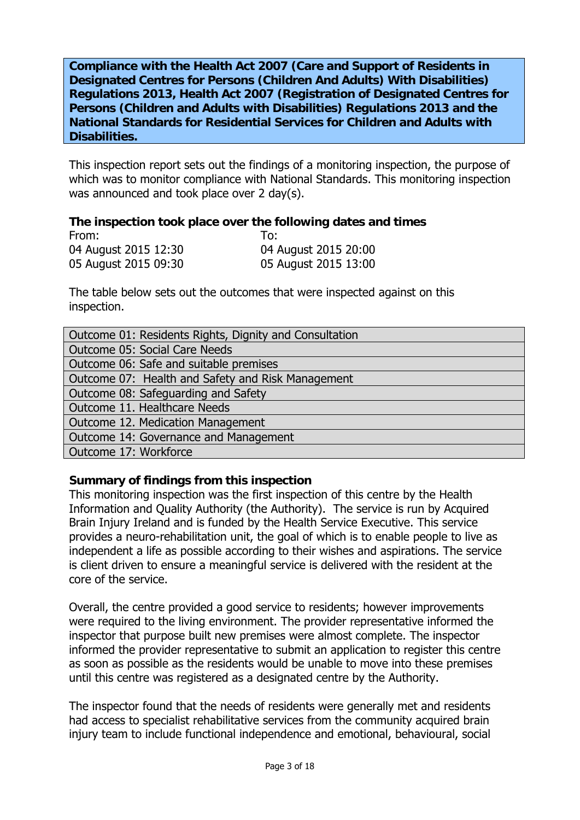**Compliance with the Health Act 2007 (Care and Support of Residents in Designated Centres for Persons (Children And Adults) With Disabilities) Regulations 2013, Health Act 2007 (Registration of Designated Centres for Persons (Children and Adults with Disabilities) Regulations 2013 and the National Standards for Residential Services for Children and Adults with Disabilities.**

This inspection report sets out the findings of a monitoring inspection, the purpose of which was to monitor compliance with National Standards. This monitoring inspection was announced and took place over 2 day(s).

#### **The inspection took place over the following dates and times**

| From:                | To:                  |
|----------------------|----------------------|
| 04 August 2015 12:30 | 04 August 2015 20:00 |
| 05 August 2015 09:30 | 05 August 2015 13:00 |

The table below sets out the outcomes that were inspected against on this inspection.

| Outcome 01: Residents Rights, Dignity and Consultation |  |
|--------------------------------------------------------|--|
| <b>Outcome 05: Social Care Needs</b>                   |  |
| Outcome 06: Safe and suitable premises                 |  |
| Outcome 07: Health and Safety and Risk Management      |  |
| Outcome 08: Safeguarding and Safety                    |  |
| Outcome 11. Healthcare Needs                           |  |
| Outcome 12. Medication Management                      |  |
| Outcome 14: Governance and Management                  |  |
| Outcome 17: Workforce                                  |  |

#### **Summary of findings from this inspection**

This monitoring inspection was the first inspection of this centre by the Health Information and Quality Authority (the Authority). The service is run by Acquired Brain Injury Ireland and is funded by the Health Service Executive. This service provides a neuro-rehabilitation unit, the goal of which is to enable people to live as independent a life as possible according to their wishes and aspirations. The service is client driven to ensure a meaningful service is delivered with the resident at the core of the service.

Overall, the centre provided a good service to residents; however improvements were required to the living environment. The provider representative informed the inspector that purpose built new premises were almost complete. The inspector informed the provider representative to submit an application to register this centre as soon as possible as the residents would be unable to move into these premises until this centre was registered as a designated centre by the Authority.

The inspector found that the needs of residents were generally met and residents had access to specialist rehabilitative services from the community acquired brain injury team to include functional independence and emotional, behavioural, social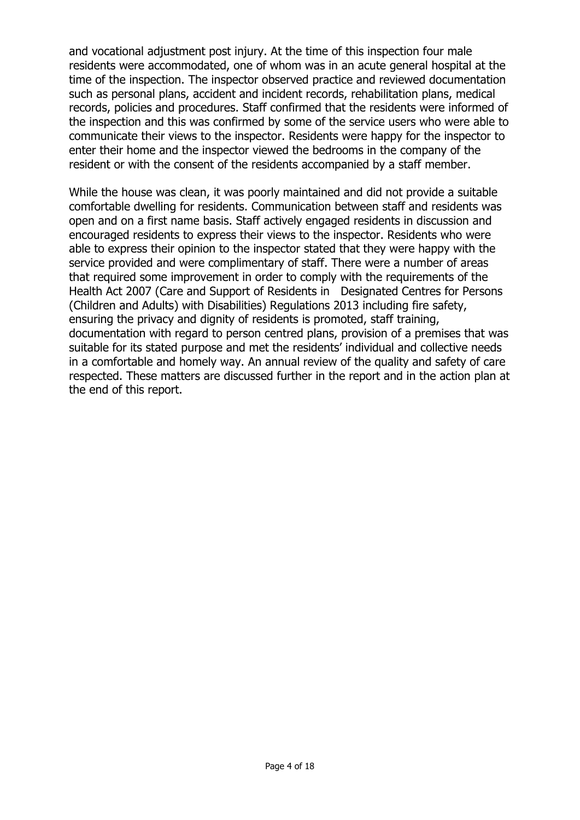and vocational adjustment post injury. At the time of this inspection four male residents were accommodated, one of whom was in an acute general hospital at the time of the inspection. The inspector observed practice and reviewed documentation such as personal plans, accident and incident records, rehabilitation plans, medical records, policies and procedures. Staff confirmed that the residents were informed of the inspection and this was confirmed by some of the service users who were able to communicate their views to the inspector. Residents were happy for the inspector to enter their home and the inspector viewed the bedrooms in the company of the resident or with the consent of the residents accompanied by a staff member.

While the house was clean, it was poorly maintained and did not provide a suitable comfortable dwelling for residents. Communication between staff and residents was open and on a first name basis. Staff actively engaged residents in discussion and encouraged residents to express their views to the inspector. Residents who were able to express their opinion to the inspector stated that they were happy with the service provided and were complimentary of staff. There were a number of areas that required some improvement in order to comply with the requirements of the Health Act 2007 (Care and Support of Residents in Designated Centres for Persons (Children and Adults) with Disabilities) Regulations 2013 including fire safety, ensuring the privacy and dignity of residents is promoted, staff training, documentation with regard to person centred plans, provision of a premises that was suitable for its stated purpose and met the residents' individual and collective needs in a comfortable and homely way. An annual review of the quality and safety of care respected. These matters are discussed further in the report and in the action plan at the end of this report.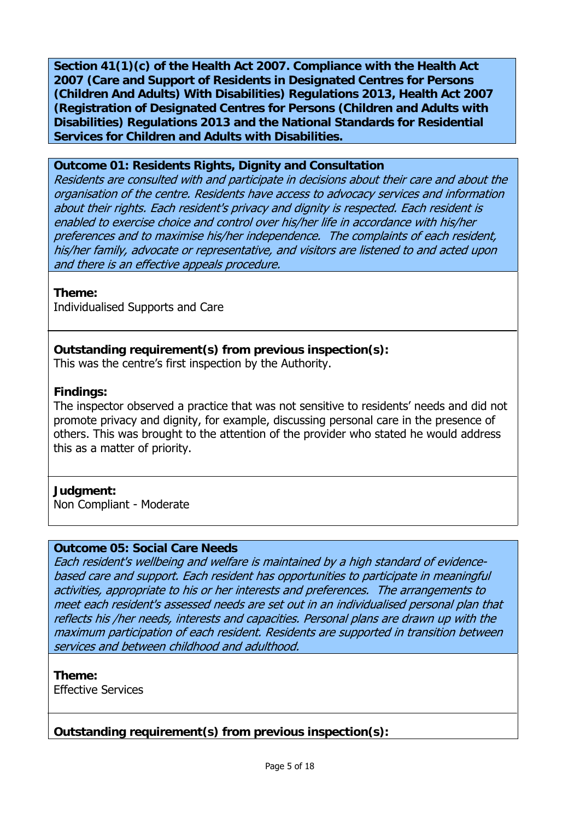**Section 41(1)(c) of the Health Act 2007. Compliance with the Health Act 2007 (Care and Support of Residents in Designated Centres for Persons (Children And Adults) With Disabilities) Regulations 2013, Health Act 2007 (Registration of Designated Centres for Persons (Children and Adults with Disabilities) Regulations 2013 and the National Standards for Residential Services for Children and Adults with Disabilities.** 

#### **Outcome 01: Residents Rights, Dignity and Consultation**

Residents are consulted with and participate in decisions about their care and about the organisation of the centre. Residents have access to advocacy services and information about their rights. Each resident's privacy and dignity is respected. Each resident is enabled to exercise choice and control over his/her life in accordance with his/her preferences and to maximise his/her independence. The complaints of each resident, his/her family, advocate or representative, and visitors are listened to and acted upon and there is an effective appeals procedure.

**Theme:** 

Individualised Supports and Care

**Outstanding requirement(s) from previous inspection(s):**

This was the centre's first inspection by the Authority.

#### **Findings:**

The inspector observed a practice that was not sensitive to residents' needs and did not promote privacy and dignity, for example, discussing personal care in the presence of others. This was brought to the attention of the provider who stated he would address this as a matter of priority.

#### **Judgment:**

Non Compliant - Moderate

#### **Outcome 05: Social Care Needs**

Each resident's wellbeing and welfare is maintained by a high standard of evidencebased care and support. Each resident has opportunities to participate in meaningful activities, appropriate to his or her interests and preferences. The arrangements to meet each resident's assessed needs are set out in an individualised personal plan that reflects his /her needs, interests and capacities. Personal plans are drawn up with the maximum participation of each resident. Residents are supported in transition between services and between childhood and adulthood.

**Theme:** 

Effective Services

**Outstanding requirement(s) from previous inspection(s):**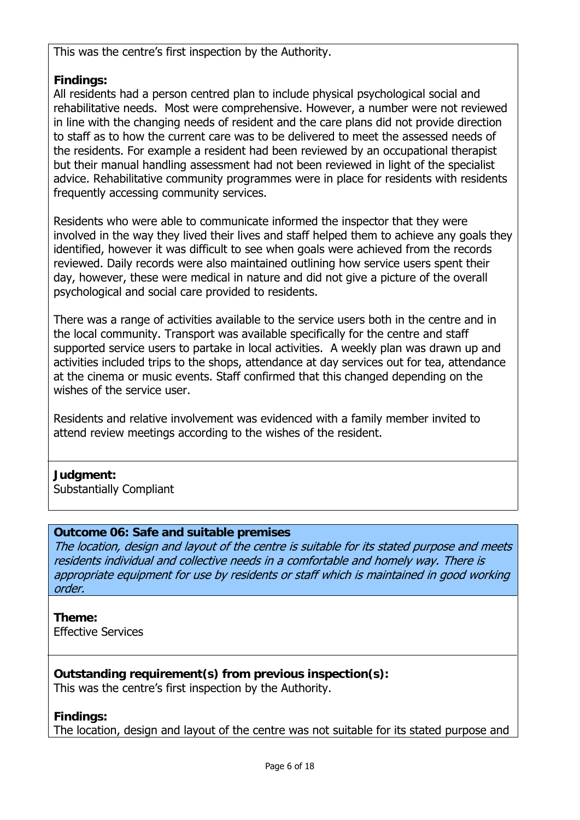This was the centre's first inspection by the Authority.

## **Findings:**

All residents had a person centred plan to include physical psychological social and rehabilitative needs. Most were comprehensive. However, a number were not reviewed in line with the changing needs of resident and the care plans did not provide direction to staff as to how the current care was to be delivered to meet the assessed needs of the residents. For example a resident had been reviewed by an occupational therapist but their manual handling assessment had not been reviewed in light of the specialist advice. Rehabilitative community programmes were in place for residents with residents frequently accessing community services.

Residents who were able to communicate informed the inspector that they were involved in the way they lived their lives and staff helped them to achieve any goals they identified, however it was difficult to see when goals were achieved from the records reviewed. Daily records were also maintained outlining how service users spent their day, however, these were medical in nature and did not give a picture of the overall psychological and social care provided to residents.

There was a range of activities available to the service users both in the centre and in the local community. Transport was available specifically for the centre and staff supported service users to partake in local activities. A weekly plan was drawn up and activities included trips to the shops, attendance at day services out for tea, attendance at the cinema or music events. Staff confirmed that this changed depending on the wishes of the service user.

Residents and relative involvement was evidenced with a family member invited to attend review meetings according to the wishes of the resident.

## **Judgment:**

Substantially Compliant

## **Outcome 06: Safe and suitable premises**

The location, design and layout of the centre is suitable for its stated purpose and meets residents individual and collective needs in a comfortable and homely way. There is appropriate equipment for use by residents or staff which is maintained in good working order.

**Theme:**  Effective Services

**Outstanding requirement(s) from previous inspection(s):** This was the centre's first inspection by the Authority.

**Findings:** 

The location, design and layout of the centre was not suitable for its stated purpose and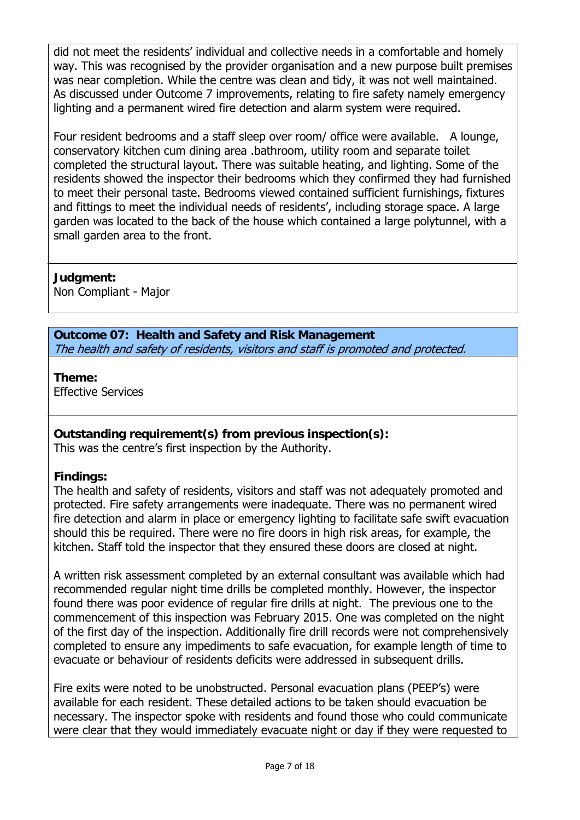did not meet the residents' individual and collective needs in a comfortable and homely way. This was recognised by the provider organisation and a new purpose built premises was near completion. While the centre was clean and tidy, it was not well maintained. As discussed under Outcome 7 improvements, relating to fire safety namely emergency lighting and a permanent wired fire detection and alarm system were required.

Four resident bedrooms and a staff sleep over room/ office were available. A lounge, conservatory kitchen cum dining area .bathroom, utility room and separate toilet completed the structural layout. There was suitable heating, and lighting. Some of the residents showed the inspector their bedrooms which they confirmed they had furnished to meet their personal taste. Bedrooms viewed contained sufficient furnishings, fixtures and fittings to meet the individual needs of residents', including storage space. A large garden was located to the back of the house which contained a large polytunnel, with a small garden area to the front.

## **Judgment:**

Non Compliant - Major

**Outcome 07: Health and Safety and Risk Management**  The health and safety of residents, visitors and staff is promoted and protected.

# **Theme:**

Effective Services

#### **Outstanding requirement(s) from previous inspection(s):**

This was the centre's first inspection by the Authority.

## **Findings:**

The health and safety of residents, visitors and staff was not adequately promoted and protected. Fire safety arrangements were inadequate. There was no permanent wired fire detection and alarm in place or emergency lighting to facilitate safe swift evacuation should this be required. There were no fire doors in high risk areas, for example, the kitchen. Staff told the inspector that they ensured these doors are closed at night.

A written risk assessment completed by an external consultant was available which had recommended regular night time drills be completed monthly. However, the inspector found there was poor evidence of regular fire drills at night. The previous one to the commencement of this inspection was February 2015. One was completed on the night of the first day of the inspection. Additionally fire drill records were not comprehensively completed to ensure any impediments to safe evacuation, for example length of time to evacuate or behaviour of residents deficits were addressed in subsequent drills.

Fire exits were noted to be unobstructed. Personal evacuation plans (PEEP's) were available for each resident. These detailed actions to be taken should evacuation be necessary. The inspector spoke with residents and found those who could communicate were clear that they would immediately evacuate night or day if they were requested to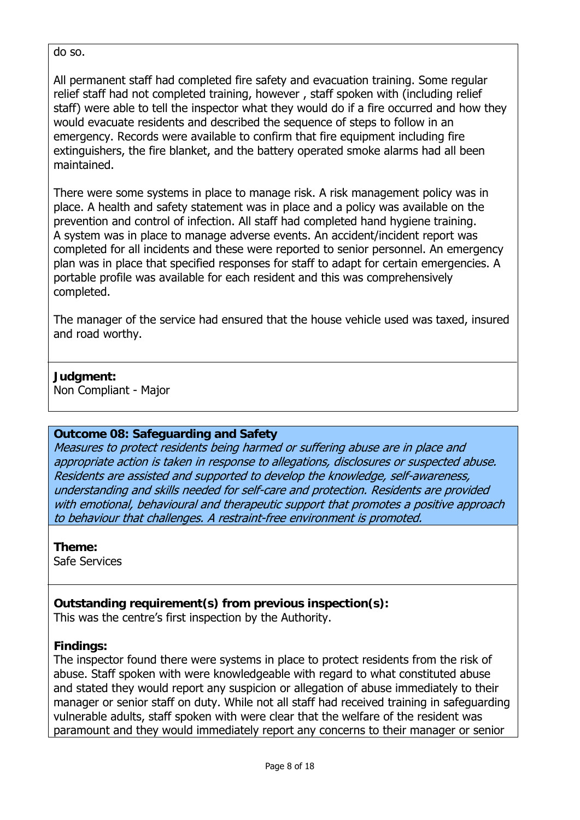do so.

All permanent staff had completed fire safety and evacuation training. Some regular relief staff had not completed training, however , staff spoken with (including relief staff) were able to tell the inspector what they would do if a fire occurred and how they would evacuate residents and described the sequence of steps to follow in an emergency. Records were available to confirm that fire equipment including fire extinguishers, the fire blanket, and the battery operated smoke alarms had all been maintained.

There were some systems in place to manage risk. A risk management policy was in place. A health and safety statement was in place and a policy was available on the prevention and control of infection. All staff had completed hand hygiene training. A system was in place to manage adverse events. An accident/incident report was completed for all incidents and these were reported to senior personnel. An emergency plan was in place that specified responses for staff to adapt for certain emergencies. A portable profile was available for each resident and this was comprehensively completed.

The manager of the service had ensured that the house vehicle used was taxed, insured and road worthy.

#### **Judgment:**

Non Compliant - Major

#### **Outcome 08: Safeguarding and Safety**

Measures to protect residents being harmed or suffering abuse are in place and appropriate action is taken in response to allegations, disclosures or suspected abuse. Residents are assisted and supported to develop the knowledge, self-awareness, understanding and skills needed for self-care and protection. Residents are provided with emotional, behavioural and therapeutic support that promotes a positive approach to behaviour that challenges. A restraint-free environment is promoted.

**Theme:**  Safe Services

#### **Outstanding requirement(s) from previous inspection(s):**

This was the centre's first inspection by the Authority.

#### **Findings:**

The inspector found there were systems in place to protect residents from the risk of abuse. Staff spoken with were knowledgeable with regard to what constituted abuse and stated they would report any suspicion or allegation of abuse immediately to their manager or senior staff on duty. While not all staff had received training in safeguarding vulnerable adults, staff spoken with were clear that the welfare of the resident was paramount and they would immediately report any concerns to their manager or senior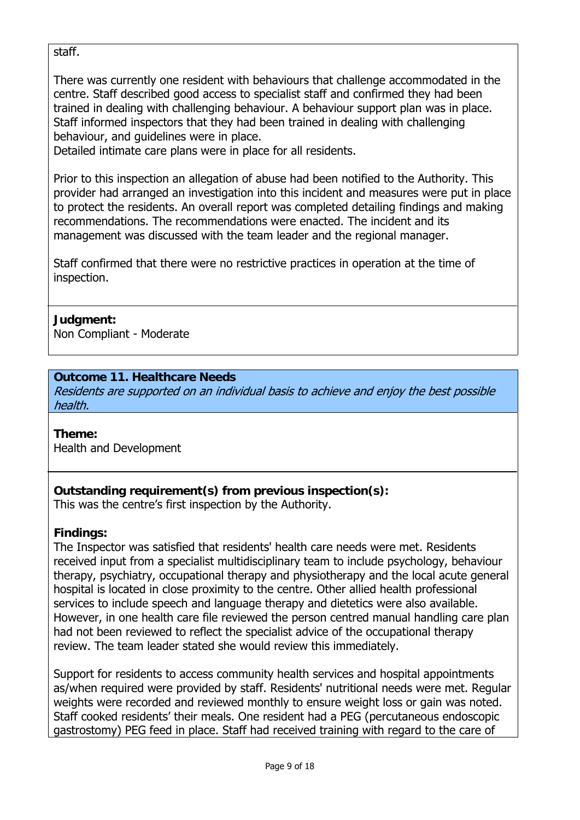staff.

There was currently one resident with behaviours that challenge accommodated in the centre. Staff described good access to specialist staff and confirmed they had been trained in dealing with challenging behaviour. A behaviour support plan was in place. Staff informed inspectors that they had been trained in dealing with challenging behaviour, and guidelines were in place.

Detailed intimate care plans were in place for all residents.

Prior to this inspection an allegation of abuse had been notified to the Authority. This provider had arranged an investigation into this incident and measures were put in place to protect the residents. An overall report was completed detailing findings and making recommendations. The recommendations were enacted. The incident and its management was discussed with the team leader and the regional manager.

Staff confirmed that there were no restrictive practices in operation at the time of inspection.

## **Judgment:**

Non Compliant - Moderate

#### **Outcome 11. Healthcare Needs**

Residents are supported on an individual basis to achieve and enjoy the best possible health.

#### **Theme:**

Health and Development

## **Outstanding requirement(s) from previous inspection(s):**

This was the centre's first inspection by the Authority.

#### **Findings:**

The Inspector was satisfied that residents' health care needs were met. Residents received input from a specialist multidisciplinary team to include psychology, behaviour therapy, psychiatry, occupational therapy and physiotherapy and the local acute general hospital is located in close proximity to the centre. Other allied health professional services to include speech and language therapy and dietetics were also available. However, in one health care file reviewed the person centred manual handling care plan had not been reviewed to reflect the specialist advice of the occupational therapy review. The team leader stated she would review this immediately.

Support for residents to access community health services and hospital appointments as/when required were provided by staff. Residents' nutritional needs were met. Regular weights were recorded and reviewed monthly to ensure weight loss or gain was noted. Staff cooked residents' their meals. One resident had a PEG (percutaneous endoscopic gastrostomy) PEG feed in place. Staff had received training with regard to the care of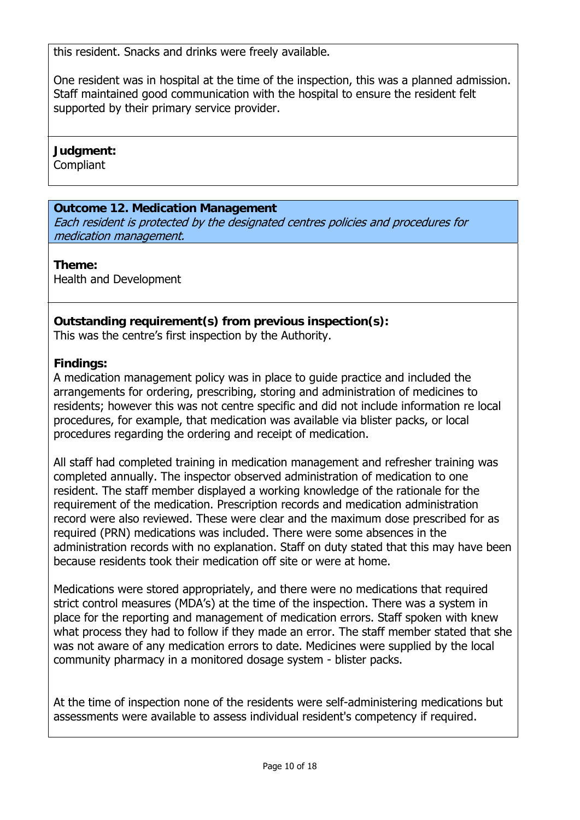this resident. Snacks and drinks were freely available.

One resident was in hospital at the time of the inspection, this was a planned admission. Staff maintained good communication with the hospital to ensure the resident felt supported by their primary service provider.

## **Judgment:**

**Compliant** 

## **Outcome 12. Medication Management**

Each resident is protected by the designated centres policies and procedures for medication management.

## **Theme:**

Health and Development

## **Outstanding requirement(s) from previous inspection(s):**

This was the centre's first inspection by the Authority.

## **Findings:**

A medication management policy was in place to guide practice and included the arrangements for ordering, prescribing, storing and administration of medicines to residents; however this was not centre specific and did not include information re local procedures, for example, that medication was available via blister packs, or local procedures regarding the ordering and receipt of medication.

All staff had completed training in medication management and refresher training was completed annually. The inspector observed administration of medication to one resident. The staff member displayed a working knowledge of the rationale for the requirement of the medication. Prescription records and medication administration record were also reviewed. These were clear and the maximum dose prescribed for as required (PRN) medications was included. There were some absences in the administration records with no explanation. Staff on duty stated that this may have been because residents took their medication off site or were at home.

Medications were stored appropriately, and there were no medications that required strict control measures (MDA's) at the time of the inspection. There was a system in place for the reporting and management of medication errors. Staff spoken with knew what process they had to follow if they made an error. The staff member stated that she was not aware of any medication errors to date. Medicines were supplied by the local community pharmacy in a monitored dosage system - blister packs.

At the time of inspection none of the residents were self-administering medications but assessments were available to assess individual resident's competency if required.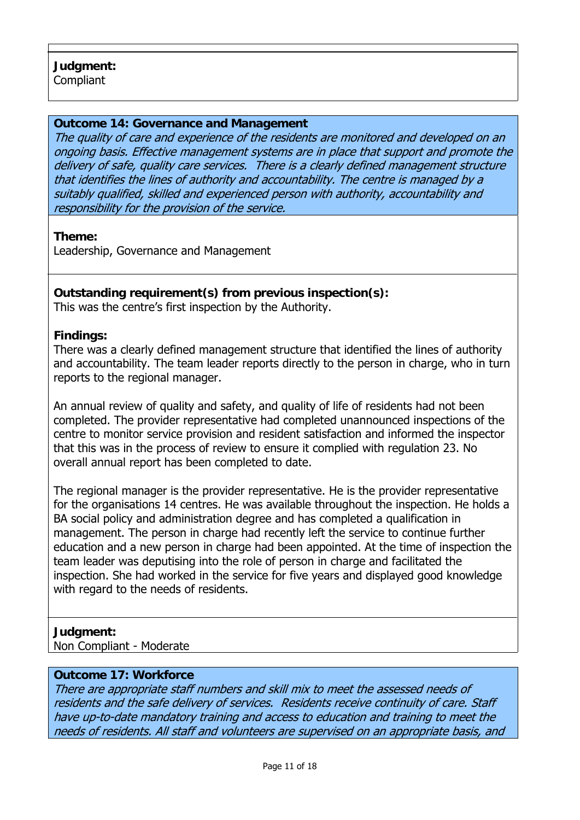#### **Outcome 14: Governance and Management**

The quality of care and experience of the residents are monitored and developed on an ongoing basis. Effective management systems are in place that support and promote the delivery of safe, quality care services. There is a clearly defined management structure that identifies the lines of authority and accountability. The centre is managed by a suitably qualified, skilled and experienced person with authority, accountability and responsibility for the provision of the service.

**Theme:** 

Leadership, Governance and Management

## **Outstanding requirement(s) from previous inspection(s):**

This was the centre's first inspection by the Authority.

#### **Findings:**

There was a clearly defined management structure that identified the lines of authority and accountability. The team leader reports directly to the person in charge, who in turn reports to the regional manager.

An annual review of quality and safety, and quality of life of residents had not been completed. The provider representative had completed unannounced inspections of the centre to monitor service provision and resident satisfaction and informed the inspector that this was in the process of review to ensure it complied with regulation 23. No overall annual report has been completed to date.

The regional manager is the provider representative. He is the provider representative for the organisations 14 centres. He was available throughout the inspection. He holds a BA social policy and administration degree and has completed a qualification in management. The person in charge had recently left the service to continue further education and a new person in charge had been appointed. At the time of inspection the team leader was deputising into the role of person in charge and facilitated the inspection. She had worked in the service for five years and displayed good knowledge with regard to the needs of residents.

#### **Judgment:**

Non Compliant - Moderate

#### **Outcome 17: Workforce**

There are appropriate staff numbers and skill mix to meet the assessed needs of residents and the safe delivery of services. Residents receive continuity of care. Staff have up-to-date mandatory training and access to education and training to meet the needs of residents. All staff and volunteers are supervised on an appropriate basis, and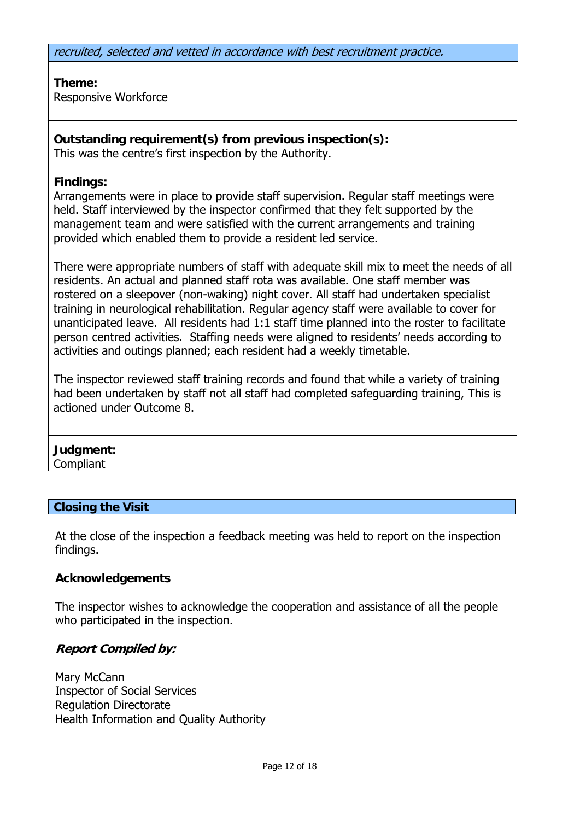recruited, selected and vetted in accordance with best recruitment practice.

**Theme:**  Responsive Workforce

**Outstanding requirement(s) from previous inspection(s):** This was the centre's first inspection by the Authority.

#### **Findings:**

Arrangements were in place to provide staff supervision. Regular staff meetings were held. Staff interviewed by the inspector confirmed that they felt supported by the management team and were satisfied with the current arrangements and training provided which enabled them to provide a resident led service.

There were appropriate numbers of staff with adequate skill mix to meet the needs of all residents. An actual and planned staff rota was available. One staff member was rostered on a sleepover (non-waking) night cover. All staff had undertaken specialist training in neurological rehabilitation. Regular agency staff were available to cover for unanticipated leave. All residents had 1:1 staff time planned into the roster to facilitate person centred activities. Staffing needs were aligned to residents' needs according to activities and outings planned; each resident had a weekly timetable.

The inspector reviewed staff training records and found that while a variety of training had been undertaken by staff not all staff had completed safeguarding training, This is actioned under Outcome 8.

#### **Judgment:** Compliant

#### **Closing the Visit**

At the close of the inspection a feedback meeting was held to report on the inspection findings.

#### **Acknowledgements**

The inspector wishes to acknowledge the cooperation and assistance of all the people who participated in the inspection.

#### **Report Compiled by:**

Mary McCann Inspector of Social Services Regulation Directorate Health Information and Quality Authority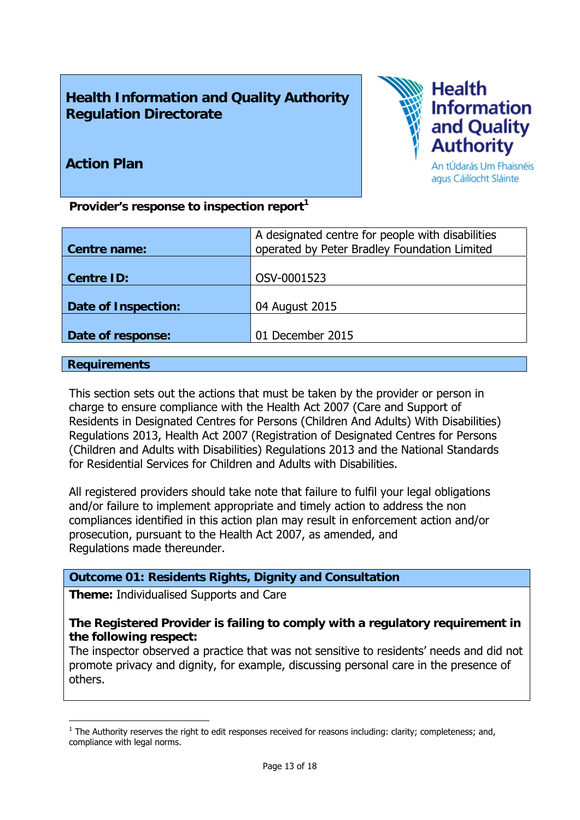## **Health Information and Quality Authority Regulation Directorate**



## **Action Plan**

Provider's response to inspection report<sup>1</sup>

|                            | A designated centre for people with disabilities |
|----------------------------|--------------------------------------------------|
| Centre name:               | operated by Peter Bradley Foundation Limited     |
|                            |                                                  |
| <b>Centre ID:</b>          | OSV-0001523                                      |
|                            |                                                  |
| <b>Date of Inspection:</b> | 04 August 2015                                   |
|                            |                                                  |
| Date of response:          | 01 December 2015                                 |
|                            |                                                  |

#### **Requirements**

This section sets out the actions that must be taken by the provider or person in charge to ensure compliance with the Health Act 2007 (Care and Support of Residents in Designated Centres for Persons (Children And Adults) With Disabilities) Regulations 2013, Health Act 2007 (Registration of Designated Centres for Persons (Children and Adults with Disabilities) Regulations 2013 and the National Standards for Residential Services for Children and Adults with Disabilities.

All registered providers should take note that failure to fulfil your legal obligations and/or failure to implement appropriate and timely action to address the non compliances identified in this action plan may result in enforcement action and/or prosecution, pursuant to the Health Act 2007, as amended, and Regulations made thereunder.

#### **Outcome 01: Residents Rights, Dignity and Consultation**

**Theme:** Individualised Supports and Care

#### **The Registered Provider is failing to comply with a regulatory requirement in the following respect:**

The inspector observed a practice that was not sensitive to residents' needs and did not promote privacy and dignity, for example, discussing personal care in the presence of others.

<sup>1</sup>  $<sup>1</sup>$  The Authority reserves the right to edit responses received for reasons including: clarity; completeness; and,</sup> compliance with legal norms.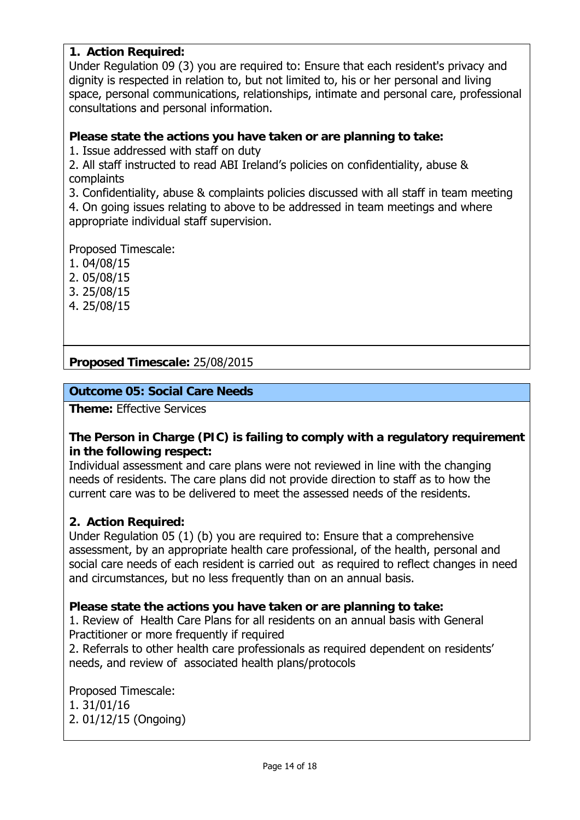#### **1. Action Required:**

Under Regulation 09 (3) you are required to: Ensure that each resident's privacy and dignity is respected in relation to, but not limited to, his or her personal and living space, personal communications, relationships, intimate and personal care, professional consultations and personal information.

#### **Please state the actions you have taken or are planning to take:**

1. Issue addressed with staff on duty

2. All staff instructed to read ABI Ireland's policies on confidentiality, abuse & complaints

3. Confidentiality, abuse & complaints policies discussed with all staff in team meeting 4. On going issues relating to above to be addressed in team meetings and where appropriate individual staff supervision.

Proposed Timescale:

- 1. 04/08/15
- 2. 05/08/15
- 3. 25/08/15
- 4. 25/08/15

**Proposed Timescale:** 25/08/2015

## **Outcome 05: Social Care Needs**

**Theme:** Effective Services

#### **The Person in Charge (PIC) is failing to comply with a regulatory requirement in the following respect:**

Individual assessment and care plans were not reviewed in line with the changing needs of residents. The care plans did not provide direction to staff as to how the current care was to be delivered to meet the assessed needs of the residents.

#### **2. Action Required:**

Under Regulation 05 (1) (b) you are required to: Ensure that a comprehensive assessment, by an appropriate health care professional, of the health, personal and social care needs of each resident is carried out as required to reflect changes in need and circumstances, but no less frequently than on an annual basis.

#### **Please state the actions you have taken or are planning to take:**

1. Review of Health Care Plans for all residents on an annual basis with General Practitioner or more frequently if required

2. Referrals to other health care professionals as required dependent on residents' needs, and review of associated health plans/protocols

Proposed Timescale: 1. 31/01/16 2. 01/12/15 (Ongoing)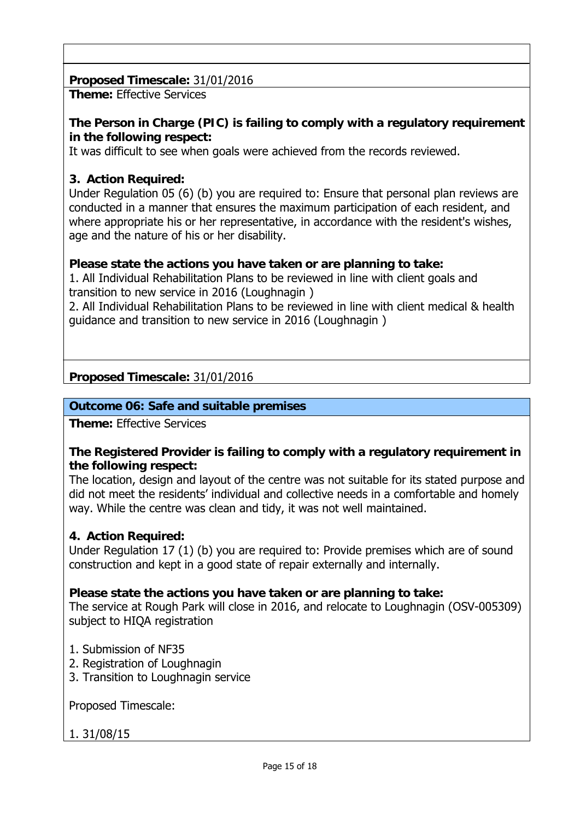## **Proposed Timescale:** 31/01/2016

**Theme:** Effective Services

## **The Person in Charge (PIC) is failing to comply with a regulatory requirement in the following respect:**

It was difficult to see when goals were achieved from the records reviewed.

## **3. Action Required:**

Under Regulation 05 (6) (b) you are required to: Ensure that personal plan reviews are conducted in a manner that ensures the maximum participation of each resident, and where appropriate his or her representative, in accordance with the resident's wishes, age and the nature of his or her disability.

## **Please state the actions you have taken or are planning to take:**

1. All Individual Rehabilitation Plans to be reviewed in line with client goals and transition to new service in 2016 (Loughnagin )

2. All Individual Rehabilitation Plans to be reviewed in line with client medical & health guidance and transition to new service in 2016 (Loughnagin )

## **Proposed Timescale:** 31/01/2016

## **Outcome 06: Safe and suitable premises**

**Theme:** Effective Services

#### **The Registered Provider is failing to comply with a regulatory requirement in the following respect:**

The location, design and layout of the centre was not suitable for its stated purpose and did not meet the residents' individual and collective needs in a comfortable and homely way. While the centre was clean and tidy, it was not well maintained.

#### **4. Action Required:**

Under Regulation 17 (1) (b) you are required to: Provide premises which are of sound construction and kept in a good state of repair externally and internally.

#### **Please state the actions you have taken or are planning to take:**

The service at Rough Park will close in 2016, and relocate to Loughnagin (OSV-005309) subject to HIQA registration

- 1. Submission of NF35
- 2. Registration of Loughnagin
- 3. Transition to Loughnagin service

Proposed Timescale:

## 1. 31/08/15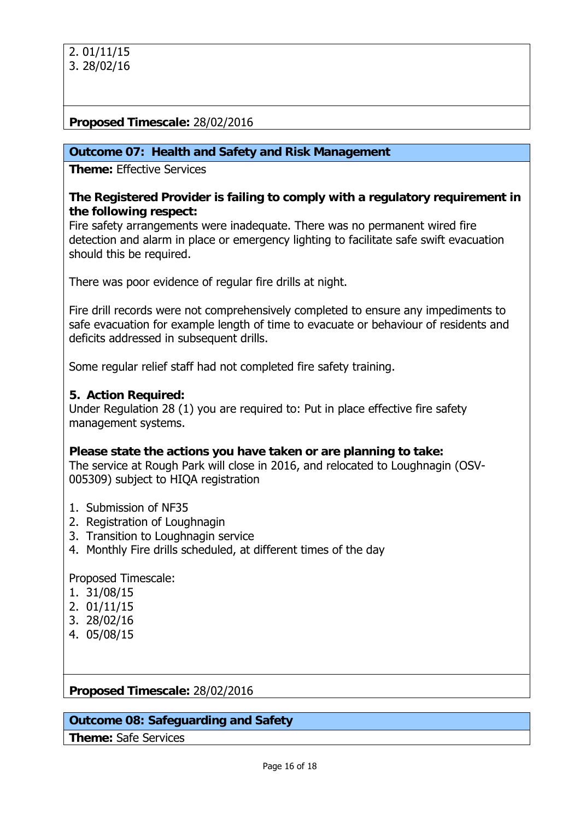#### **Proposed Timescale:** 28/02/2016

#### **Outcome 07: Health and Safety and Risk Management**

**Theme:** Effective Services

#### **The Registered Provider is failing to comply with a regulatory requirement in the following respect:**

Fire safety arrangements were inadequate. There was no permanent wired fire detection and alarm in place or emergency lighting to facilitate safe swift evacuation should this be required.

There was poor evidence of regular fire drills at night.

Fire drill records were not comprehensively completed to ensure any impediments to safe evacuation for example length of time to evacuate or behaviour of residents and deficits addressed in subsequent drills.

Some regular relief staff had not completed fire safety training.

#### **5. Action Required:**

Under Regulation 28 (1) you are required to: Put in place effective fire safety management systems.

#### **Please state the actions you have taken or are planning to take:**

The service at Rough Park will close in 2016, and relocated to Loughnagin (OSV-005309) subject to HIQA registration

- 1. Submission of NF35
- 2. Registration of Loughnagin
- 3. Transition to Loughnagin service
- 4. Monthly Fire drills scheduled, at different times of the day

Proposed Timescale:

- 1. 31/08/15
- 2. 01/11/15
- 3. 28/02/16
- 4. 05/08/15

#### **Proposed Timescale:** 28/02/2016

#### **Outcome 08: Safeguarding and Safety**

**Theme:** Safe Services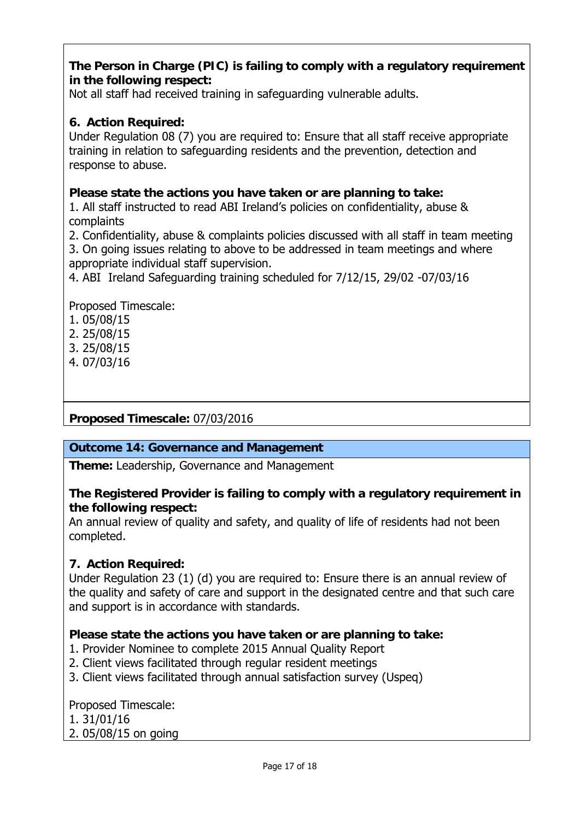## **The Person in Charge (PIC) is failing to comply with a regulatory requirement in the following respect:**

Not all staff had received training in safeguarding vulnerable adults.

## **6. Action Required:**

Under Regulation 08 (7) you are required to: Ensure that all staff receive appropriate training in relation to safeguarding residents and the prevention, detection and response to abuse.

## **Please state the actions you have taken or are planning to take:**

1. All staff instructed to read ABI Ireland's policies on confidentiality, abuse & complaints

2. Confidentiality, abuse & complaints policies discussed with all staff in team meeting 3. On going issues relating to above to be addressed in team meetings and where appropriate individual staff supervision.

4. ABI Ireland Safeguarding training scheduled for 7/12/15, 29/02 -07/03/16

Proposed Timescale:

- 1. 05/08/15
- 2. 25/08/15
- 3. 25/08/15
- 4. 07/03/16

## **Proposed Timescale:** 07/03/2016

#### **Outcome 14: Governance and Management**

**Theme:** Leadership, Governance and Management

#### **The Registered Provider is failing to comply with a regulatory requirement in the following respect:**

An annual review of quality and safety, and quality of life of residents had not been completed.

#### **7. Action Required:**

Under Regulation 23 (1) (d) you are required to: Ensure there is an annual review of the quality and safety of care and support in the designated centre and that such care and support is in accordance with standards.

#### **Please state the actions you have taken or are planning to take:**

- 1. Provider Nominee to complete 2015 Annual Quality Report
- 2. Client views facilitated through regular resident meetings
- 3. Client views facilitated through annual satisfaction survey (Uspeq)

Proposed Timescale: 1. 31/01/16 2. 05/08/15 on going